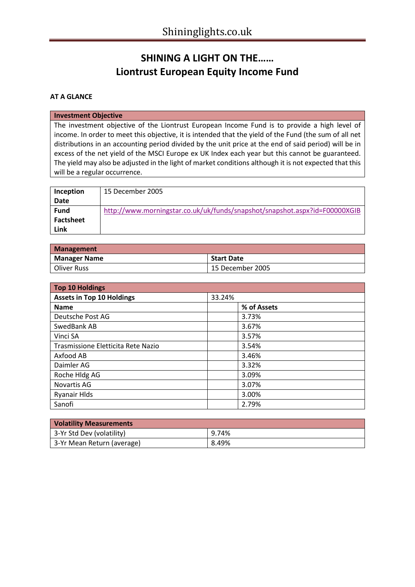# **SHINING A LIGHT ON THE…… Liontrust European Equity Income Fund**

## **AT A GLANCE**

#### **Investment Objective**

The investment objective of the Liontrust European Income Fund is to provide a high level of income. In order to meet this objective, it is intended that the yield of the Fund (the sum of all net distributions in an accounting period divided by the unit price at the end of said period) will be in excess of the net yield of the MSCI Europe ex UK Index each year but this cannot be guaranteed. The yield may also be adjusted in the light of market conditions although it is not expected that this will be a regular occurrence.

| Inception        | 15 December 2005                                                           |
|------------------|----------------------------------------------------------------------------|
| Date             |                                                                            |
| <b>Fund</b>      | http://www.morningstar.co.uk/uk/funds/snapshot/snapshot.aspx?id=F00000XGIB |
| <b>Factsheet</b> |                                                                            |
| Link             |                                                                            |

| <b>Management</b>   |                   |  |  |  |
|---------------------|-------------------|--|--|--|
| <b>Manager Name</b> | <b>Start Date</b> |  |  |  |
| Oliver Russ         | 15 December 2005  |  |  |  |

| <b>Top 10 Holdings</b>             |             |  |  |  |
|------------------------------------|-------------|--|--|--|
| <b>Assets in Top 10 Holdings</b>   | 33.24%      |  |  |  |
| <b>Name</b>                        | % of Assets |  |  |  |
| Deutsche Post AG                   | 3.73%       |  |  |  |
| SwedBank AB                        | 3.67%       |  |  |  |
| Vinci SA                           | 3.57%       |  |  |  |
| Trasmissione Eletticita Rete Nazio | 3.54%       |  |  |  |
| Axfood AB                          | 3.46%       |  |  |  |
| Daimler AG                         | 3.32%       |  |  |  |
| Roche Hldg AG                      | 3.09%       |  |  |  |
| Novartis AG                        | 3.07%       |  |  |  |
| <b>Ryanair Hlds</b>                | 3.00%       |  |  |  |
| Sanofi                             | 2.79%       |  |  |  |

| <b>Volatility Measurements</b> |       |  |  |
|--------------------------------|-------|--|--|
| 3-Yr Std Dev (volatility)      | 9.74% |  |  |
| 3-Yr Mean Return (average)     | 8.49% |  |  |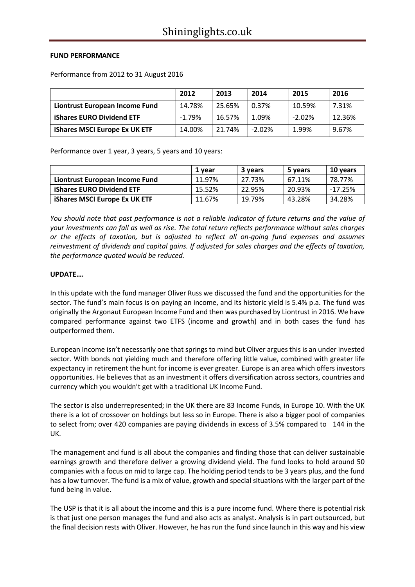## **FUND PERFORMANCE**

Performance from 2012 to 31 August 2016

|                                      | 2012     | 2013   | 2014     | 2015      | 2016   |
|--------------------------------------|----------|--------|----------|-----------|--------|
| Liontrust European Income Fund       | 14.78%   | 25.65% | 0.37%    | 10.59%    | 7.31%  |
| <b>iShares EURO Dividend ETF</b>     | $-1.79%$ | 16.57% | 1.09%    | $-2.02\%$ | 12.36% |
| <b>iShares MSCI Europe Ex UK ETF</b> | 14.00%   | 21.74% | $-2.02%$ | 1.99%     | 9.67%  |

Performance over 1 year, 3 years, 5 years and 10 years:

|                                      | 1 year | 3 years | 5 years | 10 years |
|--------------------------------------|--------|---------|---------|----------|
| Liontrust European Income Fund       | 11.97% | 27.73%  | 67.11%  | 78.77%   |
| <b>iShares EURO Dividend ETF</b>     | 15.52% | 22.95%  | 20.93%  | -17.25%  |
| <b>iShares MSCI Europe Ex UK ETF</b> | 11.67% | 19.79%  | 43.28%  | 34.28%   |

*You should note that past performance is not a reliable indicator of future returns and the value of your investments can fall as well as rise. The total return reflects performance without sales charges or the effects of taxation, but is adjusted to reflect all on-going fund expenses and assumes reinvestment of dividends and capital gains. If adjusted for sales charges and the effects of taxation, the performance quoted would be reduced.*

## **UPDATE….**

In this update with the fund manager Oliver Russ we discussed the fund and the opportunities for the sector. The fund's main focus is on paying an income, and its historic yield is 5.4% p.a. The fund was originally the Argonaut European Income Fund and then was purchased by Liontrust in 2016. We have compared performance against two ETFS (income and growth) and in both cases the fund has outperformed them.

European Income isn't necessarily one that springs to mind but Oliver argues this is an under invested sector. With bonds not yielding much and therefore offering little value, combined with greater life expectancy in retirement the hunt for income is ever greater. Europe is an area which offers investors opportunities. He believes that as an investment it offers diversification across sectors, countries and currency which you wouldn't get with a traditional UK Income Fund.

The sector is also underrepresented; in the UK there are 83 Income Funds, in Europe 10. With the UK there is a lot of crossover on holdings but less so in Europe. There is also a bigger pool of companies to select from; over 420 companies are paying dividends in excess of 3.5% compared to 144 in the UK.

The management and fund is all about the companies and finding those that can deliver sustainable earnings growth and therefore deliver a growing dividend yield. The fund looks to hold around 50 companies with a focus on mid to large cap. The holding period tends to be 3 years plus, and the fund has a low turnover. The fund is a mix of value, growth and special situations with the larger part of the fund being in value.

The USP is that it is all about the income and this is a pure income fund. Where there is potential risk is that just one person manages the fund and also acts as analyst. Analysis is in part outsourced, but the final decision rests with Oliver. However, he has run the fund since launch in this way and his view